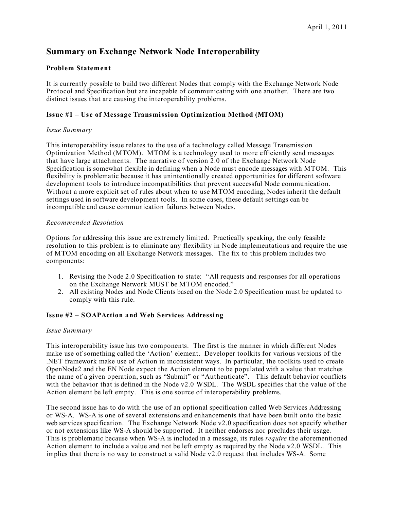# **Summary on Exchange Network Node Interoperability**

### **Problem Statement**

It is currently possible to build two different Nodes that comply with the Exchange Network Node Protocol and Specification but are incapable of communicating with one another. There are two distinct issues that are causing the interoperability problems.

## **Issue #1 – Use of Message Transmission Optimization Method (MTOM)**

#### *Issue Summary*

This interoperability issue relates to the use of a technology called Message Transmission Optimization Method (MTOM). MTOM is a technology used to more efficiently send messages that have large attachments. The narrative of version 2.0 of the Exchange Network Node Specification is somewhat flexible in defining when a Node must encode messages with MTOM. This flexibility is problematic because it has unintentionally created opportunities for different software development tools to introduce incompatibilities that prevent successful Node communication. Without a more explicit set of rules about when to use MTOM encoding, Nodes inherit the default settings used in software development tools. In some cases, these default settings can be incompatible and cause communication failures between Nodes.

#### *Recommended Resolution*

Options for addressing this issue are extremely limited. Practically speaking, the only feasible resolution to this problem is to eliminate any flexibility in Node implementations and require the use of MTOM encoding on all Exchange Network messages. The fix to this problem includes two components:

- 1. Revising the Node 2.0 Specification to state: "All requests and responses for all operations on the Exchange Network MUST be MTOM encoded."
- 2. All existing Nodes and Node Clients based on the Node 2.0 Specification must be updated to comply with this rule.

## **Issue #2 – SOAPAction and Web Services Addressing**

#### *Issue Summary*

This interoperability issue has two components. The first is the manner in which different Nodes make use of something called the 'Action' element. Developer toolkits for various versions of the .NET framework make use of Action in inconsistent ways. In particular, the toolkits used to create OpenNode2 and the EN Node expect the Action element to be populated with a value that matches the name of a given operation, such as "Submit" or "Authenticate". This default behavior conflicts with the behavior that is defined in the Node v2.0 WSDL. The WSDL specifies that the value of the Action element be left empty. This is one source of interoperability problems.

The second issue has to do with the use of an optional specification called Web Services Addressing or WS-A. WS-A is one of several extensions and enhancements that have been built onto the basic web services specification. The Exchange Network Node v2.0 specification does not specify whether or not extensions like WS-A should be supported. It neither endorses nor precludes their usage. This is problematic because when WS-A is included in a message, its rules *require* the aforementioned Action element to include a value and not be left empty as required by the Node v2.0 WSDL. This implies that there is no way to construct a valid Node v2.0 request that includes WS-A. Some